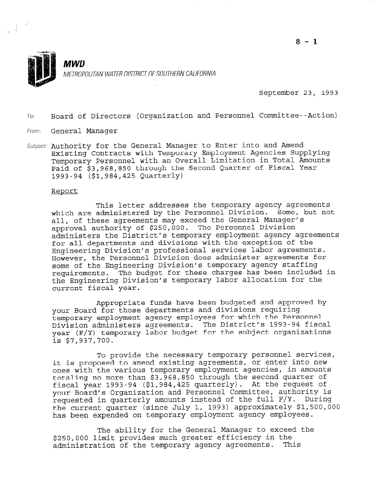

September 23, 1993

TO. Board of Directors (Organization and Personnel Committee--Action)

From: General Manager

 $\frac{1}{2}$  ,  $\frac{1}{\sqrt{2}}$ 

Subject: Authority for the General Manager to Enter into and Amend Existing Contracts with Temporary Employment Agencies Supplying Temporary Personnel with an Overall Limitation in Total Amounts Paid of \$3,968,850 through the Second Quarter of Fiscal Year 1993-94 (\$1,984,425 Quarterly)

#### Report

This letter addresses the temporary agency agreements which are administered by the Personnel Division. Some, but not all, of these agreements may exceed the General Manager's approval authority of \$250,000. The Personnel Division administers the District's temporary employment agency agreements for all departments and divisions with the exception of the Engineering Division's professional services labor agreements. However, the Personnel Division does administer agreements for some of the Engineering Division's temporary agency staffing requirements. The budget for these charges has been included in the Engineering Division's temporary labor allocation for the current fiscal year.

Appropriate funds have been budgeted and approved by your Board for those departments and divisions requiring temporary employment agency employees for which the Personnel Division administers agreements. The District's 1993-94 fiscal year (F/Y) temporary labor budget for the subject organizations is \$7,937,700.

To provide the necessary temporary personnel services, it is proposed to amend existing agreements, or enter into new ones with the various temporary employment agencies, in amounts totaling no more than \$3,968,850 through the second quarter of fiscal year 1993-94 (\$1,984,425 quarterly). At the request of your Board's Organization and Personnel Committee, authority is your Board's Organization and Personnel Committee, authority is tequested in quarterly amounts instead of the full f/f. During the current quarter (since July 1, 1993) approximately \$1,500,000<br>has been expended on temporary employment agency employees.

The ability for the General Manager to exceed the THE ADILICY LOI CHE GENERAL MANAGEL CO EXCEE<br>The above in the consider much most in the strain and the s250,000 limit provides much greater efficiency in the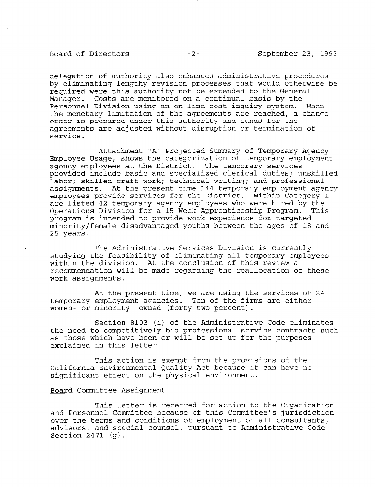## Board of Directors -2- September 23, 1993

delegation of authority also enhances administrative procedures by eliminating lengthy revision processes that would otherwise be required were this authority not be extended to the General Manager. Costs are monitored on a continual basis by the Personnel Division using an on-line cost inquiry system. When the monetary limitation of the agreements are reached, a change order is prepared under this authority and funds for the agreements are adjusted without disruption or termination of service.

Attachment "A" Projected Summary of Temporary Agency Employee Usage, shows the categorization of temporary employment agency employees at the District. The temporary services provided include basic and specialized clerical duties; unskilled labor; skilled craft work; technical writing; and professional assignments. At the present time 144 temporary employment agency employees provide services for the District. Within Category I are listed 42 temporary agency employees who were hired by the Operations Division for a 15 Week Apprenticeship Program. This program is intended to provide work experience for targeted minority/female disadvantaged youths between the ages of 18 and 25 years.

The Administrative Services Division is currently studying the feasibility of eliminating all temporary employees within the division. At the conclusion of this review a recommendation will be made regarding the reallocation of these work assignments.

At the present time, we are using the services of 24 temporary employment agencies. Ten of the firms are either women- or minority- owned (forty-two percent).

Section 8103 (i) of the Administrative Code eliminates the need to competitively bid professional service contracts such as those which have been or will be set up for the purposes explained in this letter.

This action is exempt from the provisions of the California Environmental Quality Act because it can have no significant effect on the physical environment.

### Board Committee Assignment

This letter is referred for action to the Organization and Personnel Committee because of this Committee's jurisdiction.<br>This Committee because of this Committee's jurisdiction. over the terms and conditions of employment of all consultants, over the terms and conditions of employment of all consultants, advisors, and special counsel, pursuant to Administrative Code Section 2471  $(q)$ .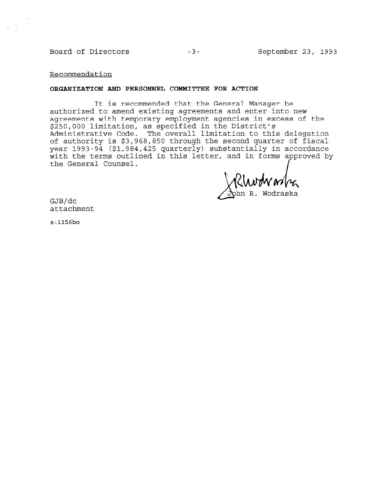Board of Directors -3- September 23, 1993

Recommendation

#### ORGANIZATION AND PERSONNEL COMMITTEE FOR ACTION

It is recommended that the General Manager be authorized to amend existing agreements and enter into new agreements with temporary employment agencies in excess of the \$250,000 limitation, as specified in the District's Administrative Code. The overall limitation to this delegation of authority is \$3,968,850 through the second quarter of fiscal year 1993-94 (\$1,984,425 quarterly) substantially in accordance with the terms outlined in this letter, and in forms approved by the General Counsel.

NMWM4

GJB/dc attachment

s:1156bo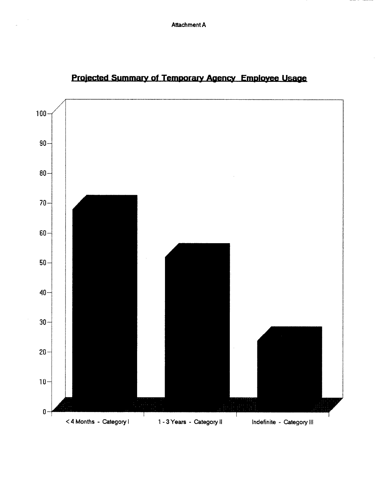

# Projected Summary of Temporary Agency Employee Usage